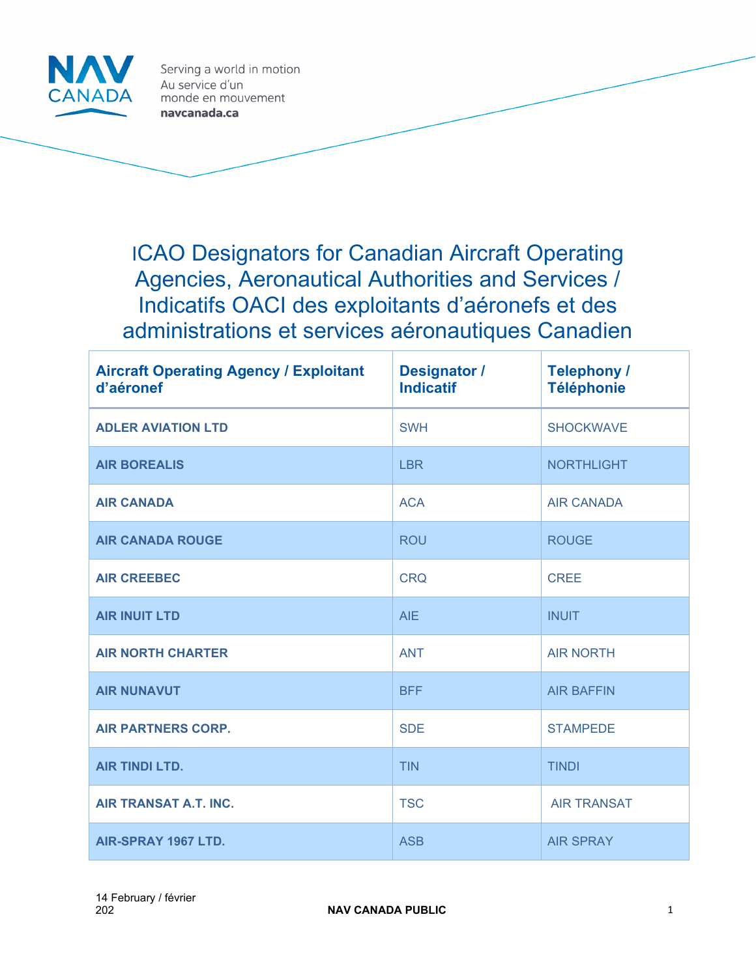

Serving a world in motion Au service d'un monde en mouvement navcanada.ca

ICAO Designators for Canadian Aircraft Operating Agencies, Aeronautical Authorities and Services / Indicatifs OACI des exploitants d'aéronefs et des administrations et services aéronautiques Canadien

| <b>Aircraft Operating Agency / Exploitant</b><br>d'aéronef | <b>Designator /</b><br><b>Indicatif</b> | <b>Telephony /</b><br><b>Téléphonie</b> |
|------------------------------------------------------------|-----------------------------------------|-----------------------------------------|
| <b>ADLER AVIATION LTD</b>                                  | <b>SWH</b>                              | <b>SHOCKWAVE</b>                        |
| <b>AIR BOREALIS</b>                                        | <b>LBR</b>                              | <b>NORTHLIGHT</b>                       |
| <b>AIR CANADA</b>                                          | <b>ACA</b>                              | <b>AIR CANADA</b>                       |
| <b>AIR CANADA ROUGE</b>                                    | <b>ROU</b>                              | <b>ROUGE</b>                            |
| <b>AIR CREEBEC</b>                                         | <b>CRQ</b>                              | <b>CREE</b>                             |
| <b>AIR INUIT LTD</b>                                       | <b>AIE</b>                              | <b>INUIT</b>                            |
| <b>AIR NORTH CHARTER</b>                                   | <b>ANT</b>                              | <b>AIR NORTH</b>                        |
| <b>AIR NUNAVUT</b>                                         | <b>BFF</b>                              | <b>AIR BAFFIN</b>                       |
| <b>AIR PARTNERS CORP.</b>                                  | <b>SDE</b>                              | <b>STAMPEDE</b>                         |
| <b>AIR TINDI LTD.</b>                                      | <b>TIN</b>                              | <b>TINDI</b>                            |
| <b>AIR TRANSAT A.T. INC.</b>                               | <b>TSC</b>                              | <b>AIR TRANSAT</b>                      |
| AIR-SPRAY 1967 LTD.                                        | <b>ASB</b>                              | <b>AIR SPRAY</b>                        |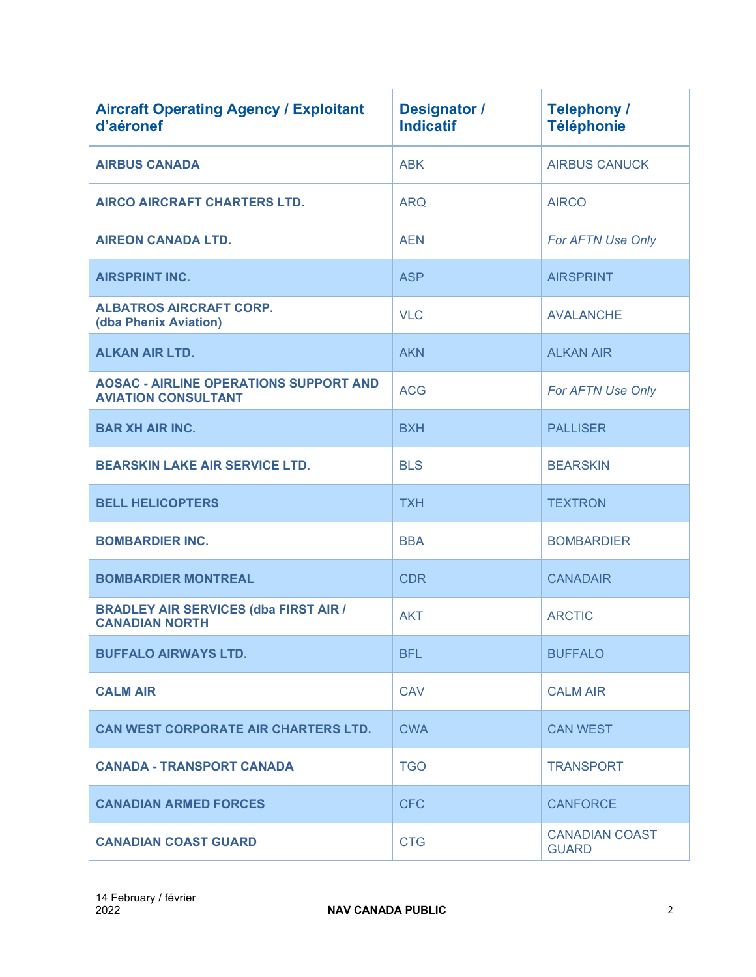| <b>Aircraft Operating Agency / Exploitant</b><br>d'aéronef                  | <b>Designator /</b><br><b>Indicatif</b> | <b>Telephony /</b><br><b>Téléphonie</b> |
|-----------------------------------------------------------------------------|-----------------------------------------|-----------------------------------------|
| <b>AIRBUS CANADA</b>                                                        | <b>ABK</b>                              | <b>AIRBUS CANUCK</b>                    |
| <b>AIRCO AIRCRAFT CHARTERS LTD.</b>                                         | <b>ARQ</b>                              | <b>AIRCO</b>                            |
| <b>AIREON CANADA LTD.</b>                                                   | <b>AEN</b>                              | For AFTN Use Only                       |
| <b>AIRSPRINT INC.</b>                                                       | <b>ASP</b>                              | <b>AIRSPRINT</b>                        |
| <b>ALBATROS AIRCRAFT CORP.</b><br>(dba Phenix Aviation)                     | <b>VLC</b>                              | <b>AVALANCHE</b>                        |
| <b>ALKAN AIR LTD.</b>                                                       | <b>AKN</b>                              | <b>ALKAN AIR</b>                        |
| <b>AOSAC - AIRLINE OPERATIONS SUPPORT AND</b><br><b>AVIATION CONSULTANT</b> | <b>ACG</b>                              | For AFTN Use Only                       |
| <b>BAR XH AIR INC.</b>                                                      | <b>BXH</b>                              | <b>PALLISER</b>                         |
| <b>BEARSKIN LAKE AIR SERVICE LTD.</b>                                       | <b>BLS</b>                              | <b>BEARSKIN</b>                         |
| <b>BELL HELICOPTERS</b>                                                     | <b>TXH</b>                              | <b>TEXTRON</b>                          |
| <b>BOMBARDIER INC.</b>                                                      | <b>BBA</b>                              | <b>BOMBARDIER</b>                       |
| <b>BOMBARDIER MONTREAL</b>                                                  | <b>CDR</b>                              | <b>CANADAIR</b>                         |
| <b>BRADLEY AIR SERVICES (dba FIRST AIR /</b><br><b>CANADIAN NORTH</b>       | <b>AKT</b>                              | <b>ARCTIC</b>                           |
| <b>BUFFALO AIRWAYS LTD.</b>                                                 | <b>BFL</b>                              | <b>BUFFALO</b>                          |
| <b>CALM AIR</b>                                                             | <b>CAV</b>                              | <b>CALM AIR</b>                         |
| <b>CAN WEST CORPORATE AIR CHARTERS LTD.</b>                                 | <b>CWA</b>                              | <b>CAN WEST</b>                         |
| <b>CANADA - TRANSPORT CANADA</b>                                            | <b>TGO</b>                              | <b>TRANSPORT</b>                        |
| <b>CANADIAN ARMED FORCES</b>                                                | <b>CFC</b>                              | <b>CANFORCE</b>                         |
| <b>CANADIAN COAST GUARD</b>                                                 | <b>CTG</b>                              | <b>CANADIAN COAST</b><br><b>GUARD</b>   |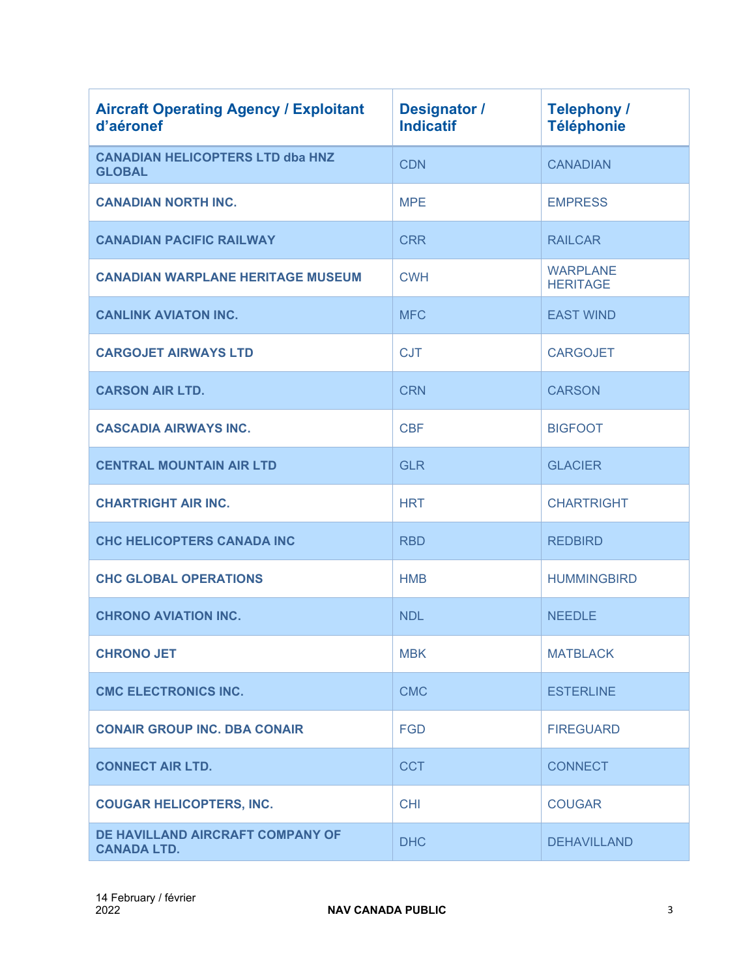| <b>Aircraft Operating Agency / Exploitant</b><br>d'aéronef | Designator /<br><b>Indicatif</b> | <b>Telephony /</b><br><b>Téléphonie</b> |
|------------------------------------------------------------|----------------------------------|-----------------------------------------|
| <b>CANADIAN HELICOPTERS LTD dba HNZ</b><br><b>GLOBAL</b>   | <b>CDN</b>                       | <b>CANADIAN</b>                         |
| <b>CANADIAN NORTH INC.</b>                                 | <b>MPE</b>                       | <b>EMPRESS</b>                          |
| <b>CANADIAN PACIFIC RAILWAY</b>                            | <b>CRR</b>                       | <b>RAILCAR</b>                          |
| <b>CANADIAN WARPLANE HERITAGE MUSEUM</b>                   | <b>CWH</b>                       | <b>WARPLANE</b><br><b>HERITAGE</b>      |
| <b>CANLINK AVIATON INC.</b>                                | <b>MFC</b>                       | <b>EAST WIND</b>                        |
| <b>CARGOJET AIRWAYS LTD</b>                                | <b>CJT</b>                       | <b>CARGOJET</b>                         |
| <b>CARSON AIR LTD.</b>                                     | <b>CRN</b>                       | <b>CARSON</b>                           |
| <b>CASCADIA AIRWAYS INC.</b>                               | <b>CBF</b>                       | <b>BIGFOOT</b>                          |
| <b>CENTRAL MOUNTAIN AIR LTD</b>                            | <b>GLR</b>                       | <b>GLACIER</b>                          |
| <b>CHARTRIGHT AIR INC.</b>                                 | <b>HRT</b>                       | <b>CHARTRIGHT</b>                       |
| <b>CHC HELICOPTERS CANADA INC</b>                          | <b>RBD</b>                       | <b>REDBIRD</b>                          |
| <b>CHC GLOBAL OPERATIONS</b>                               | <b>HMB</b>                       | <b>HUMMINGBIRD</b>                      |
| <b>CHRONO AVIATION INC.</b>                                | <b>NDL</b>                       | <b>NEEDLE</b>                           |
| <b>CHRONO JET</b>                                          | <b>MBK</b>                       | <b>MATBLACK</b>                         |
| <b>CMC ELECTRONICS INC.</b>                                | <b>CMC</b>                       | <b>ESTERLINE</b>                        |
| <b>CONAIR GROUP INC. DBA CONAIR</b>                        | <b>FGD</b>                       | <b>FIREGUARD</b>                        |
| <b>CONNECT AIR LTD.</b>                                    | <b>CCT</b>                       | <b>CONNECT</b>                          |
| <b>COUGAR HELICOPTERS, INC.</b>                            | <b>CHI</b>                       | <b>COUGAR</b>                           |
| DE HAVILLAND AIRCRAFT COMPANY OF<br><b>CANADA LTD.</b>     | <b>DHC</b>                       | <b>DEHAVILLAND</b>                      |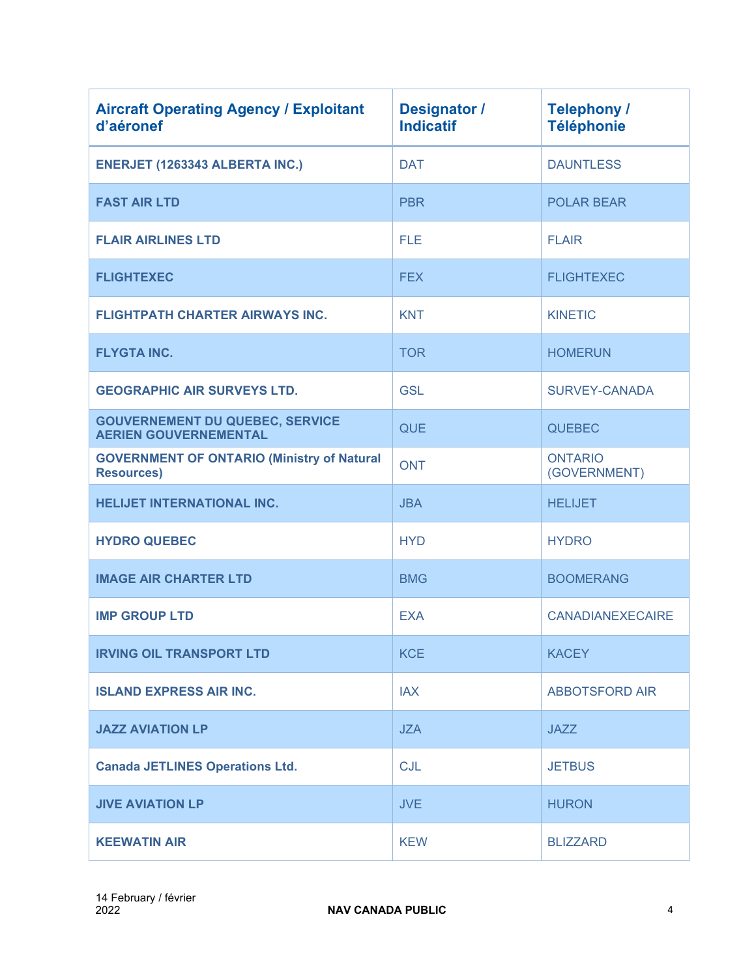| <b>Aircraft Operating Agency / Exploitant</b><br>d'aéronef             | <b>Designator /</b><br><b>Indicatif</b> | <b>Telephony /</b><br><b>Téléphonie</b> |
|------------------------------------------------------------------------|-----------------------------------------|-----------------------------------------|
| ENERJET (1263343 ALBERTA INC.)                                         | <b>DAT</b>                              | <b>DAUNTLESS</b>                        |
| <b>FAST AIR LTD</b>                                                    | <b>PBR</b>                              | <b>POLAR BEAR</b>                       |
| <b>FLAIR AIRLINES LTD</b>                                              | <b>FLE</b>                              | <b>FLAIR</b>                            |
| <b>FLIGHTEXEC</b>                                                      | <b>FEX</b>                              | <b>FLIGHTEXEC</b>                       |
| <b>FLIGHTPATH CHARTER AIRWAYS INC.</b>                                 | <b>KNT</b>                              | <b>KINETIC</b>                          |
| <b>FLYGTA INC.</b>                                                     | <b>TOR</b>                              | <b>HOMERUN</b>                          |
| <b>GEOGRAPHIC AIR SURVEYS LTD.</b>                                     | <b>GSL</b>                              | <b>SURVEY-CANADA</b>                    |
| <b>GOUVERNEMENT DU QUEBEC, SERVICE</b><br><b>AERIEN GOUVERNEMENTAL</b> | <b>QUE</b>                              | <b>QUEBEC</b>                           |
| <b>GOVERNMENT OF ONTARIO (Ministry of Natural</b><br><b>Resources)</b> | <b>ONT</b>                              | <b>ONTARIO</b><br>(GOVERNMENT)          |
| <b>HELIJET INTERNATIONAL INC.</b>                                      | <b>JBA</b>                              | <b>HELIJET</b>                          |
| <b>HYDRO QUEBEC</b>                                                    | <b>HYD</b>                              | <b>HYDRO</b>                            |
| <b>IMAGE AIR CHARTER LTD</b>                                           | <b>BMG</b>                              | <b>BOOMERANG</b>                        |
| <b>IMP GROUP LTD</b>                                                   | <b>EXA</b>                              | <b>CANADIANEXECAIRE</b>                 |
| <b>IRVING OIL TRANSPORT LTD</b>                                        | <b>KCE</b>                              | <b>KACEY</b>                            |
| <b>ISLAND EXPRESS AIR INC.</b>                                         | <b>IAX</b>                              | <b>ABBOTSFORD AIR</b>                   |
| <b>JAZZ AVIATION LP</b>                                                | <b>JZA</b>                              | <b>JAZZ</b>                             |
| <b>Canada JETLINES Operations Ltd.</b>                                 | CJL                                     | <b>JETBUS</b>                           |
| <b>JIVE AVIATION LP</b>                                                | <b>JVE</b>                              | <b>HURON</b>                            |
| <b>KEEWATIN AIR</b>                                                    | <b>KEW</b>                              | <b>BLIZZARD</b>                         |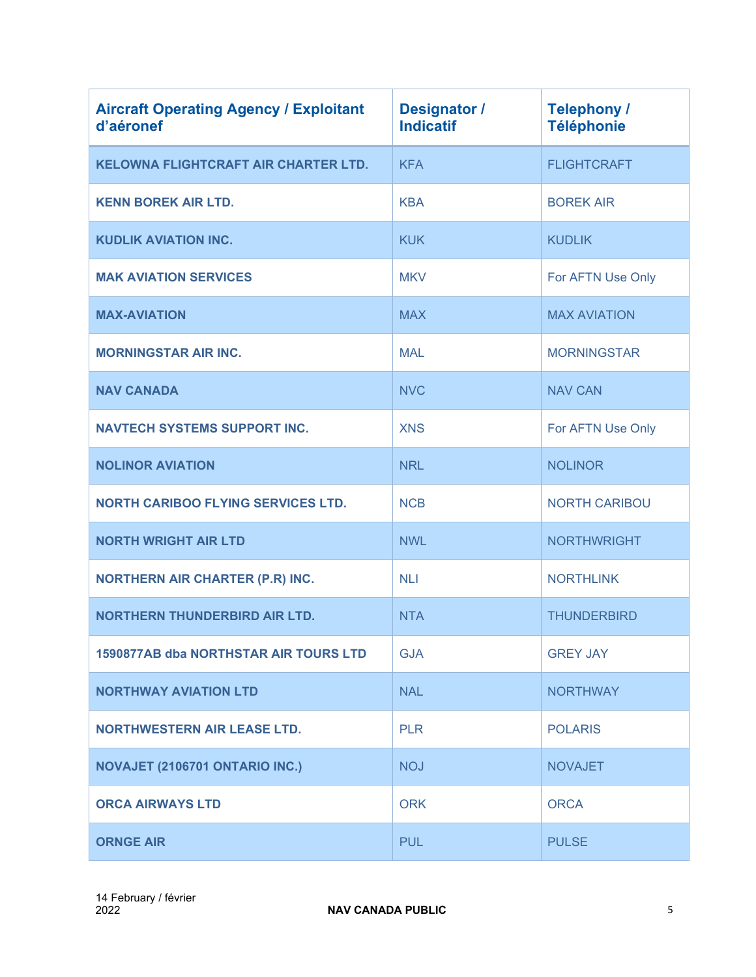| <b>Aircraft Operating Agency / Exploitant</b><br>d'aéronef | <b>Designator /</b><br><b>Indicatif</b> | <b>Telephony /</b><br><b>Téléphonie</b> |
|------------------------------------------------------------|-----------------------------------------|-----------------------------------------|
| <b>KELOWNA FLIGHTCRAFT AIR CHARTER LTD.</b>                | <b>KFA</b>                              | <b>FLIGHTCRAFT</b>                      |
| <b>KENN BOREK AIR LTD.</b>                                 | <b>KBA</b>                              | <b>BOREK AIR</b>                        |
| <b>KUDLIK AVIATION INC.</b>                                | <b>KUK</b>                              | <b>KUDLIK</b>                           |
| <b>MAK AVIATION SERVICES</b>                               | <b>MKV</b>                              | For AFTN Use Only                       |
| <b>MAX-AVIATION</b>                                        | <b>MAX</b>                              | <b>MAX AVIATION</b>                     |
| <b>MORNINGSTAR AIR INC.</b>                                | <b>MAL</b>                              | <b>MORNINGSTAR</b>                      |
| <b>NAV CANADA</b>                                          | <b>NVC</b>                              | <b>NAV CAN</b>                          |
| <b>NAVTECH SYSTEMS SUPPORT INC.</b>                        | <b>XNS</b>                              | For AFTN Use Only                       |
| <b>NOLINOR AVIATION</b>                                    | <b>NRL</b>                              | <b>NOLINOR</b>                          |
| <b>NORTH CARIBOO FLYING SERVICES LTD.</b>                  | <b>NCB</b>                              | <b>NORTH CARIBOU</b>                    |
| <b>NORTH WRIGHT AIR LTD</b>                                | <b>NWL</b>                              | <b>NORTHWRIGHT</b>                      |
| <b>NORTHERN AIR CHARTER (P.R) INC.</b>                     | <b>NLI</b>                              | <b>NORTHLINK</b>                        |
| <b>NORTHERN THUNDERBIRD AIR LTD.</b>                       | <b>NTA</b>                              | <b>THUNDERBIRD</b>                      |
| 1590877AB dba NORTHSTAR AIR TOURS LTD                      | <b>GJA</b>                              | <b>GREY JAY</b>                         |
| <b>NORTHWAY AVIATION LTD</b>                               | <b>NAL</b>                              | <b>NORTHWAY</b>                         |
| <b>NORTHWESTERN AIR LEASE LTD.</b>                         | <b>PLR</b>                              | <b>POLARIS</b>                          |
| NOVAJET (2106701 ONTARIO INC.)                             | <b>NOJ</b>                              | <b>NOVAJET</b>                          |
| <b>ORCA AIRWAYS LTD</b>                                    | <b>ORK</b>                              | <b>ORCA</b>                             |
| <b>ORNGE AIR</b>                                           | <b>PUL</b>                              | <b>PULSE</b>                            |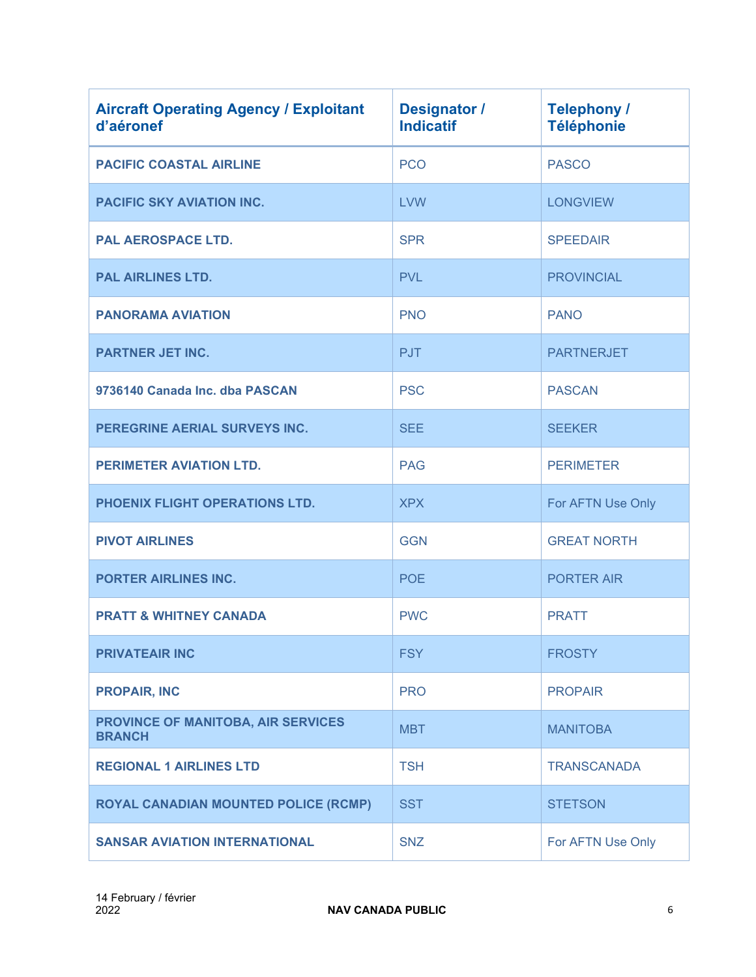| <b>Aircraft Operating Agency / Exploitant</b><br>d'aéronef | <b>Designator /</b><br><b>Indicatif</b> | <b>Telephony /</b><br><b>Téléphonie</b> |
|------------------------------------------------------------|-----------------------------------------|-----------------------------------------|
| <b>PACIFIC COASTAL AIRLINE</b>                             | <b>PCO</b>                              | <b>PASCO</b>                            |
| <b>PACIFIC SKY AVIATION INC.</b>                           | <b>LVW</b>                              | <b>LONGVIEW</b>                         |
| <b>PAL AEROSPACE LTD.</b>                                  | <b>SPR</b>                              | <b>SPEEDAIR</b>                         |
| <b>PAL AIRLINES LTD.</b>                                   | <b>PVL</b>                              | <b>PROVINCIAL</b>                       |
| <b>PANORAMA AVIATION</b>                                   | <b>PNO</b>                              | <b>PANO</b>                             |
| <b>PARTNER JET INC.</b>                                    | <b>PJT</b>                              | <b>PARTNERJET</b>                       |
| 9736140 Canada Inc. dba PASCAN                             | <b>PSC</b>                              | <b>PASCAN</b>                           |
| PEREGRINE AERIAL SURVEYS INC.                              | <b>SEE</b>                              | <b>SEEKER</b>                           |
| PERIMETER AVIATION LTD.                                    | <b>PAG</b>                              | <b>PERIMETER</b>                        |
| PHOENIX FLIGHT OPERATIONS LTD.                             | <b>XPX</b>                              | For AFTN Use Only                       |
| <b>PIVOT AIRLINES</b>                                      | <b>GGN</b>                              | <b>GREAT NORTH</b>                      |
| <b>PORTER AIRLINES INC.</b>                                | <b>POE</b>                              | <b>PORTER AIR</b>                       |
| <b>PRATT &amp; WHITNEY CANADA</b>                          | <b>PWC</b>                              | <b>PRATT</b>                            |
| <b>PRIVATEAIR INC</b>                                      | <b>FSY</b>                              | <b>FROSTY</b>                           |
| <b>PROPAIR, INC</b>                                        | <b>PRO</b>                              | <b>PROPAIR</b>                          |
| PROVINCE OF MANITOBA, AIR SERVICES<br><b>BRANCH</b>        | <b>MBT</b>                              | <b>MANITOBA</b>                         |
| <b>REGIONAL 1 AIRLINES LTD</b>                             | <b>TSH</b>                              | <b>TRANSCANADA</b>                      |
| <b>ROYAL CANADIAN MOUNTED POLICE (RCMP)</b>                | <b>SST</b>                              | <b>STETSON</b>                          |
| <b>SANSAR AVIATION INTERNATIONAL</b>                       | <b>SNZ</b>                              | For AFTN Use Only                       |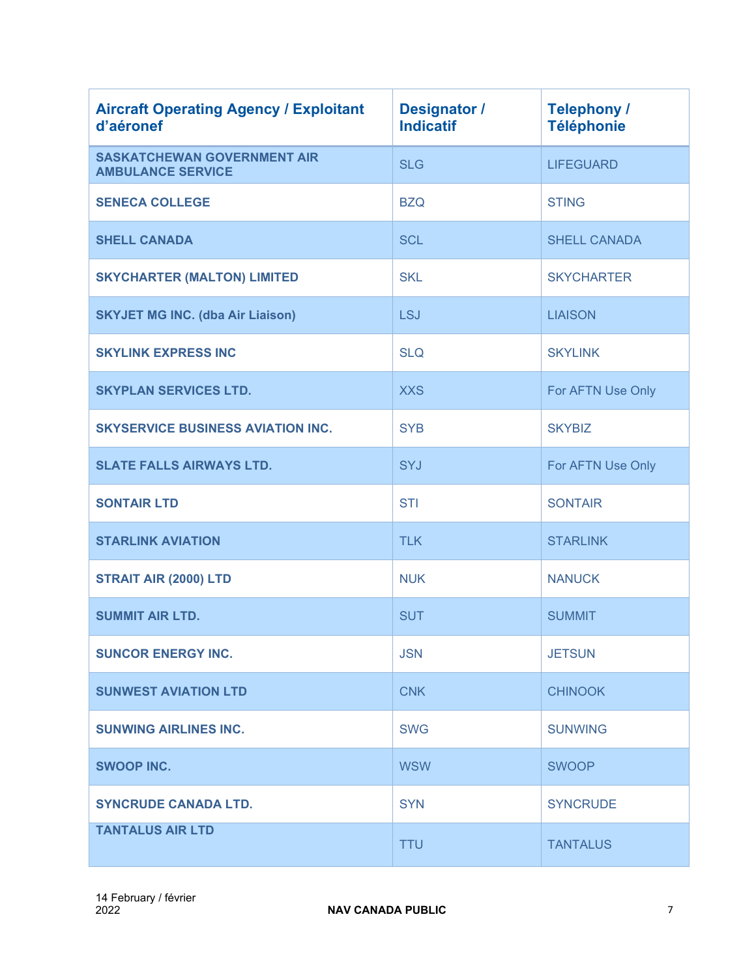| <b>Aircraft Operating Agency / Exploitant</b><br>d'aéronef     | <b>Designator /</b><br><b>Indicatif</b> | <b>Telephony /</b><br><b>Téléphonie</b> |
|----------------------------------------------------------------|-----------------------------------------|-----------------------------------------|
| <b>SASKATCHEWAN GOVERNMENT AIR</b><br><b>AMBULANCE SERVICE</b> | <b>SLG</b>                              | <b>LIFEGUARD</b>                        |
| <b>SENECA COLLEGE</b>                                          | <b>BZQ</b>                              | <b>STING</b>                            |
| <b>SHELL CANADA</b>                                            | <b>SCL</b>                              | <b>SHELL CANADA</b>                     |
| <b>SKYCHARTER (MALTON) LIMITED</b>                             | <b>SKL</b>                              | <b>SKYCHARTER</b>                       |
| <b>SKYJET MG INC. (dba Air Liaison)</b>                        | <b>LSJ</b>                              | <b>LIAISON</b>                          |
| <b>SKYLINK EXPRESS INC</b>                                     | <b>SLQ</b>                              | <b>SKYLINK</b>                          |
| <b>SKYPLAN SERVICES LTD.</b>                                   | <b>XXS</b>                              | For AFTN Use Only                       |
| <b>SKYSERVICE BUSINESS AVIATION INC.</b>                       | <b>SYB</b>                              | <b>SKYBIZ</b>                           |
| <b>SLATE FALLS AIRWAYS LTD.</b>                                | SYJ                                     | For AFTN Use Only                       |
| <b>SONTAIR LTD</b>                                             | <b>STI</b>                              | <b>SONTAIR</b>                          |
| <b>STARLINK AVIATION</b>                                       | <b>TLK</b>                              | <b>STARLINK</b>                         |
| STRAIT AIR (2000) LTD                                          | <b>NUK</b>                              | <b>NANUCK</b>                           |
| <b>SUMMIT AIR LTD.</b>                                         | <b>SUT</b>                              | <b>SUMMIT</b>                           |
| <b>SUNCOR ENERGY INC.</b>                                      | <b>JSN</b>                              | <b>JETSUN</b>                           |
| <b>SUNWEST AVIATION LTD</b>                                    | <b>CNK</b>                              | <b>CHINOOK</b>                          |
| <b>SUNWING AIRLINES INC.</b>                                   | <b>SWG</b>                              | <b>SUNWING</b>                          |
| <b>SWOOP INC.</b>                                              | <b>WSW</b>                              | <b>SWOOP</b>                            |
| <b>SYNCRUDE CANADA LTD.</b>                                    | <b>SYN</b>                              | <b>SYNCRUDE</b>                         |
| <b>TANTALUS AIR LTD</b>                                        | <b>TTU</b>                              | <b>TANTALUS</b>                         |